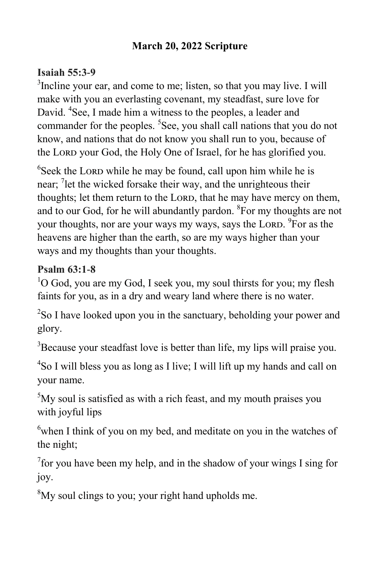## **March 20, 2022 Scripture**

## **Isaiah 55:3-9**

<sup>3</sup>Incline your ear, and come to me; listen, so that you may live. I will make with you an everlasting covenant, my steadfast, sure love for David. <sup>4</sup>See, I made him a witness to the peoples, a leader and commander for the peoples. <sup>5</sup>See, you shall call nations that you do not know, and nations that do not know you shall run to you, because of the Lord your God, the Holy One of Israel, for he has glorified you.

 $6$ Seek the LORD while he may be found, call upon him while he is near; <sup>7</sup> let the wicked forsake their way, and the unrighteous their thoughts; let them return to the LORD, that he may have mercy on them, and to our God, for he will abundantly pardon. <sup>8</sup>For my thoughts are not your thoughts, nor are your ways my ways, says the Lord. <sup>9</sup>For as the heavens are higher than the earth, so are my ways higher than your ways and my thoughts than your thoughts.

## **Psalm 63:1-8**

 $1^{\circ}$ O God, you are my God, I seek you, my soul thirsts for you; my flesh faints for you, as in a dry and weary land where there is no water.

<sup>2</sup>So I have looked upon you in the sanctuary, beholding your power and glory.

<sup>3</sup>Because your steadfast love is better than life, my lips will praise you.

4 So I will bless you as long as I live; I will lift up my hands and call on your name.

<sup>5</sup>My soul is satisfied as with a rich feast, and my mouth praises you with joyful lips

 $6$ when I think of you on my bed, and meditate on you in the watches of the night;

 $7$  for you have been my help, and in the shadow of your wings I sing for joy.

<sup>8</sup>My soul clings to you; your right hand upholds me.